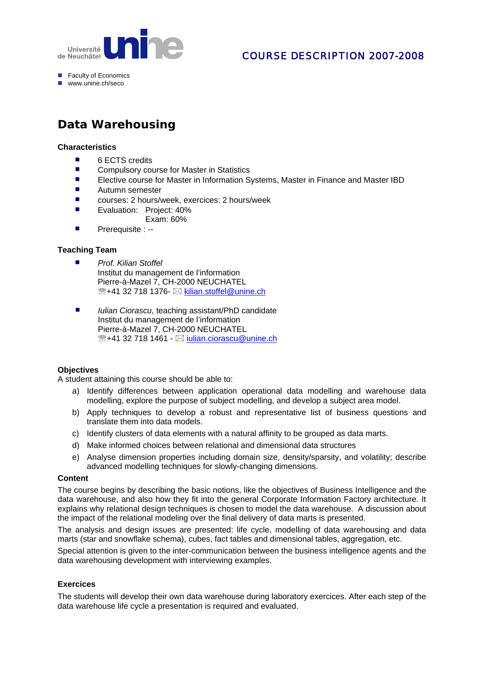

# COURSE DESCRIPTION 2007-2008

- Faculty of Economics
- $\n **www**  $\overline{\text{unine}}\text{ ch/sero}$$

# **Data Warehousing**

#### **Characteristics**

- 6 ECTS credits
- Compulsory course for Master in Statistics
- Elective course for Master in Information Systems, Master in Finance and Master IBD
- Autumn semester
- courses: 2 hours/week, exercices: 2 hours/week
- Evaluation: Project: 40% Exam: 60%
- Prerequisite : --

### **Teaching Team**

- *Prof. Kilian Stoffel*
	- Institut du management de l'information Pierre-à-Mazel 7, CH-2000 NEUCHATEL <sup>2</sup>/<sub>2</sub>+41 32 718 1376- ⊠ kilian.stoffel@unine.ch
- *Iulian Ciorascu*, teaching assistant/PhD candidate Institut du management de l'information Pierre-à-Mazel 7, CH-2000 NEUCHATEL <sup>®</sup>+41 32 718 1461 - ⊠ iulian.ciorascu@unine.ch

### **Objectives**

A student attaining this course should be able to:

- a) Identify differences between application operational data modelling and warehouse data modelling, explore the purpose of subject modelling, and develop a subject area model.
- b) Apply techniques to develop a robust and representative list of business questions and translate them into data models.
- c) Identify clusters of data elements with a natural affinity to be grouped as data marts.
- d) Make informed choices between relational and dimensional data structures
- e) Analyse dimension properties including domain size, density/sparsity, and volatility; describe advanced modelling techniques for slowly-changing dimensions.

#### **Content**

The course begins by describing the basic notions, like the objectives of Business Intelligence and the data warehouse, and also how they fit into the general Corporate Information Factory architecture. It explains why relational design techniques is chosen to model the data warehouse. A discussion about the impact of the relational modeling over the final delivery of data marts is presented.

The analysis and design issues are presented: life cycle, modelling of data warehousing and data marts (star and snowflake schema), cubes, fact tables and dimensional tables, aggregation, etc.

Special attention is given to the inter-communication between the business intelligence agents and the data warehousing development with interviewing examples.

### **Exercices**

The students will develop their own data warehouse during laboratory exercices. After each step of the data warehouse life cycle a presentation is required and evaluated.